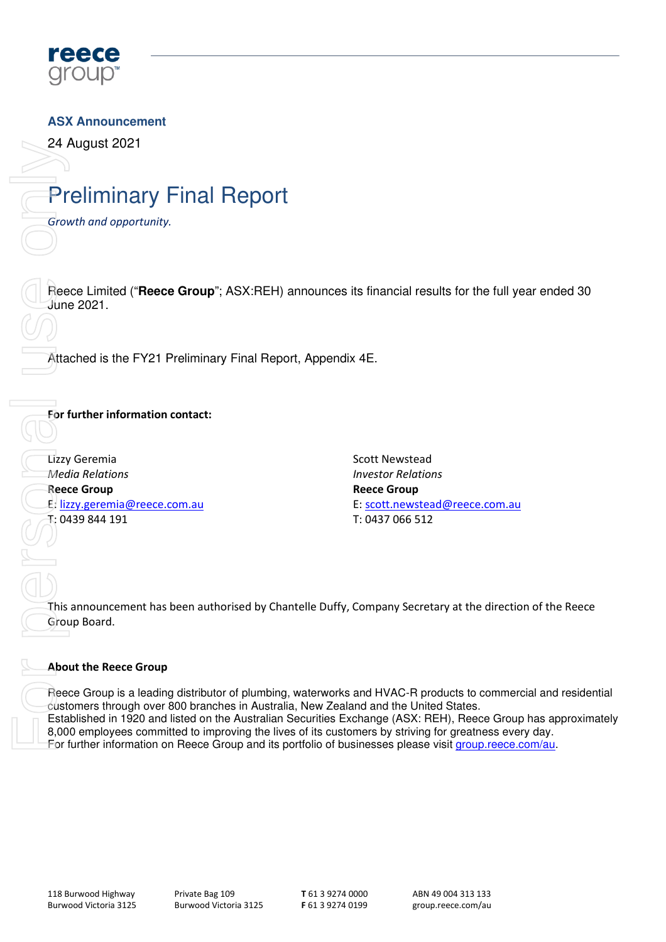

### **ASX Announcement**

24 August 2021

# Preliminary Final Report

Growth and opportunity.

Reece Limited ("**Reece Group**"; ASX:REH) announces its financial results for the full year ended 30 June 2021.

Attached is the FY21 Preliminary Final Report, Appendix 4E.

### For further information contact:

Lizzy Geremia Media Relations Reece Group E: lizzy.geremia@reece.com.au T: 0439 844 191

Scott Newstead Investor Relations Reece Group E: scott.newstead@reece.com.au T: 0437 066 512

This announcement has been authorised by Chantelle Duffy, Company Secretary at the direction of the Reece Group Board.

#### About the Reece Group

Reece Group is a leading distributor of plumbing, waterworks and HVAC-R products to commercial and residential customers through over 800 branches in Australia, New Zealand and the United States. Established in 1920 and listed on the Australian Securities Exchange (ASX: REH), Reece Group has approximately 8,000 employees committed to improving the lives of its customers by striving for greatness every day. For further information on Reece Group<br>
Freece Limited ("Reece Group"; ASX:REH) an<br>
June 2021.<br>
Attached is the FY21 Preliminary Final Report,<br>
For further information contact:<br>
Lizzy Geremia<br>
Media Relations<br>
Reece Group<br> For further information on Reece Group and its portfolio of businesses please visit group.reece.com/au.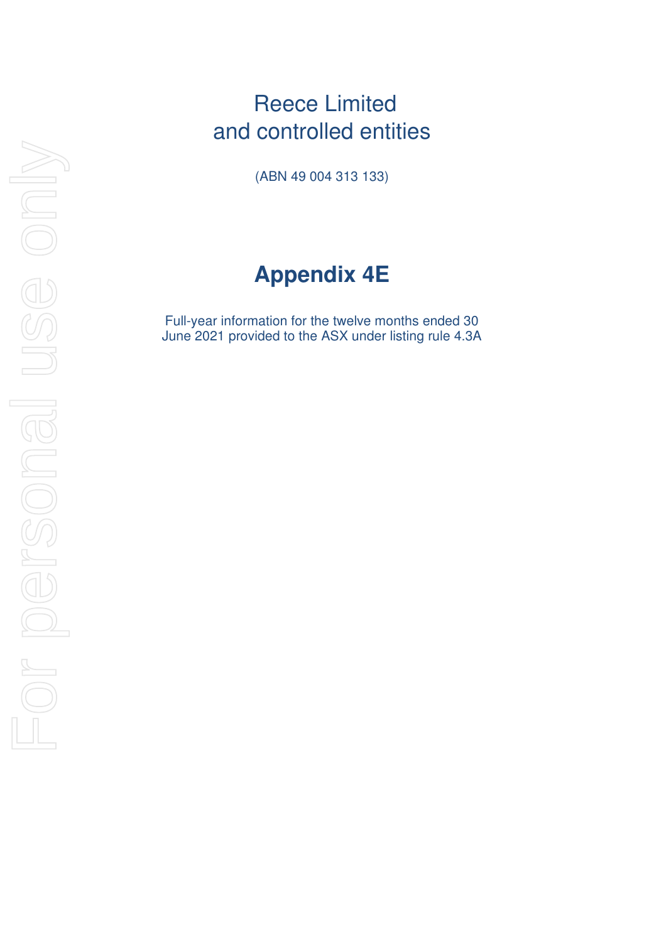### Reece Limited and controlled entities

(ABN 49 004 313 133)

# **Appendix 4E**

Full-year information for the twelve months ended 30 June 2021 provided to the ASX under listing rule 4.3A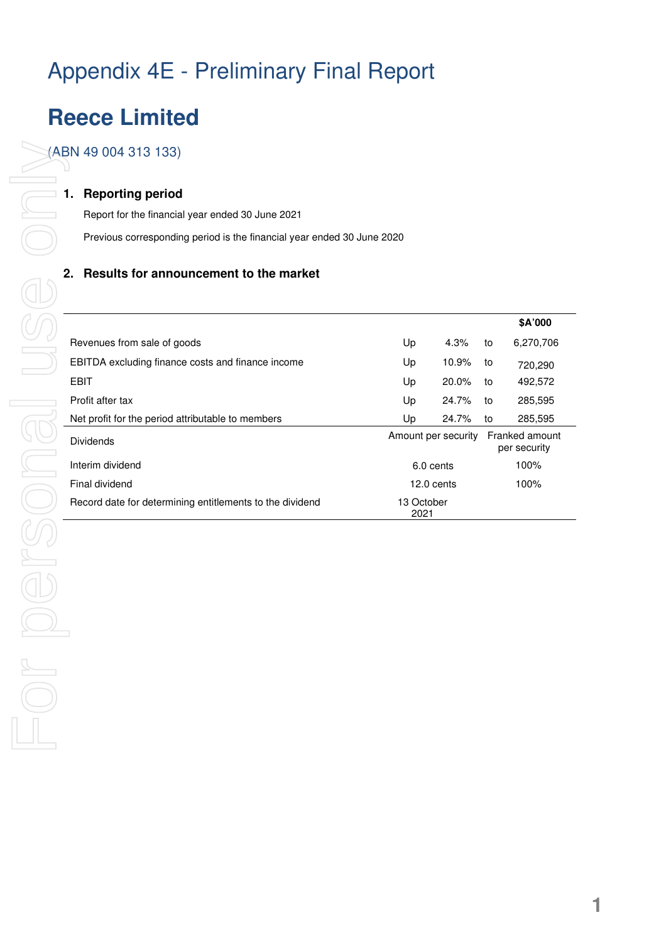# Appendix 4E - Preliminary Final Report

### **Reece Limited**

(ABN 49 004 313 133)

#### **1. Reporting period**

Report for the financial year ended 30 June 2021 Previous corresponding period is the financial year ended 30 June 2020

### **2. Results for announcement to the market**

|                                                          |                     |       |    | \$A'000                        |
|----------------------------------------------------------|---------------------|-------|----|--------------------------------|
| Revenues from sale of goods                              | Up                  | 4.3%  | to | 6,270,706                      |
| <b>EBITDA</b> excluding finance costs and finance income | Up                  | 10.9% | to | 720,290                        |
| <b>EBIT</b>                                              | Up                  | 20.0% | to | 492,572                        |
| Profit after tax                                         | Up                  | 24.7% | to | 285,595                        |
| Net profit for the period attributable to members        | Up                  | 24.7% | to | 285,595                        |
| <b>Dividends</b>                                         | Amount per security |       |    | Franked amount<br>per security |
| Interim dividend                                         | 6.0 cents           |       |    | 100%                           |
| Final dividend                                           | 12.0 cents          |       |    | 100%                           |
| Record date for determining entitlements to the dividend | 13 October<br>2021  |       |    |                                |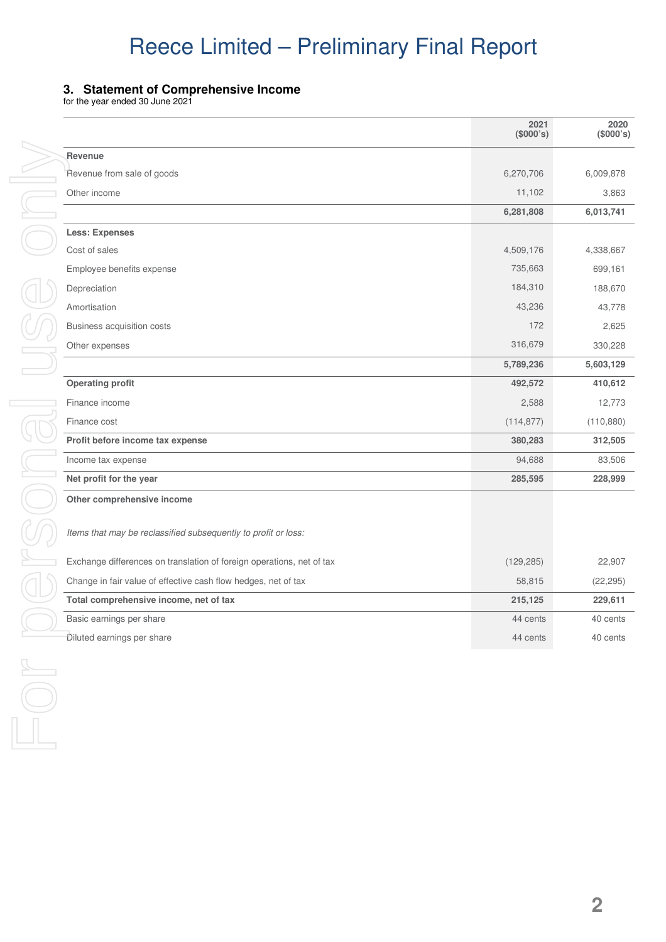### **3. Statement of Comprehensive Income**

for the year ended 30 June 2021

|                                                                       | 2021<br>(\$000's) | 2020<br>(\$000's) |
|-----------------------------------------------------------------------|-------------------|-------------------|
| Revenue                                                               |                   |                   |
| Revenue from sale of goods                                            | 6,270,706         | 6,009,878         |
| Other income                                                          | 11,102            | 3,863             |
|                                                                       | 6,281,808         | 6,013,741         |
| <b>Less: Expenses</b>                                                 |                   |                   |
| Cost of sales                                                         | 4,509,176         | 4,338,667         |
| Employee benefits expense                                             | 735,663           | 699,161           |
| Depreciation                                                          | 184,310           | 188,670           |
| Amortisation                                                          | 43,236            | 43,778            |
| Business acquisition costs                                            | 172               | 2,625             |
| Other expenses                                                        | 316,679           | 330,228           |
|                                                                       | 5,789,236         | 5,603,129         |
| <b>Operating profit</b>                                               | 492,572           | 410,612           |
| Finance income                                                        | 2,588             | 12,773            |
| Finance cost                                                          | (114, 877)        | (110, 880)        |
| Profit before income tax expense                                      | 380,283           | 312,505           |
| Income tax expense                                                    | 94,688            | 83,506            |
| Net profit for the year                                               | 285,595           | 228,999           |
| Other comprehensive income                                            |                   |                   |
| Items that may be reclassified subsequently to profit or loss:        |                   |                   |
| Exchange differences on translation of foreign operations, net of tax | (129, 285)        | 22,907            |
| Change in fair value of effective cash flow hedges, net of tax        | 58,815            | (22, 295)         |
| Total comprehensive income, net of tax                                | 215,125           | 229,611           |
| Basic earnings per share                                              | 44 cents          | 40 cents          |
| Diluted earnings per share                                            | 44 cents          | 40 cents          |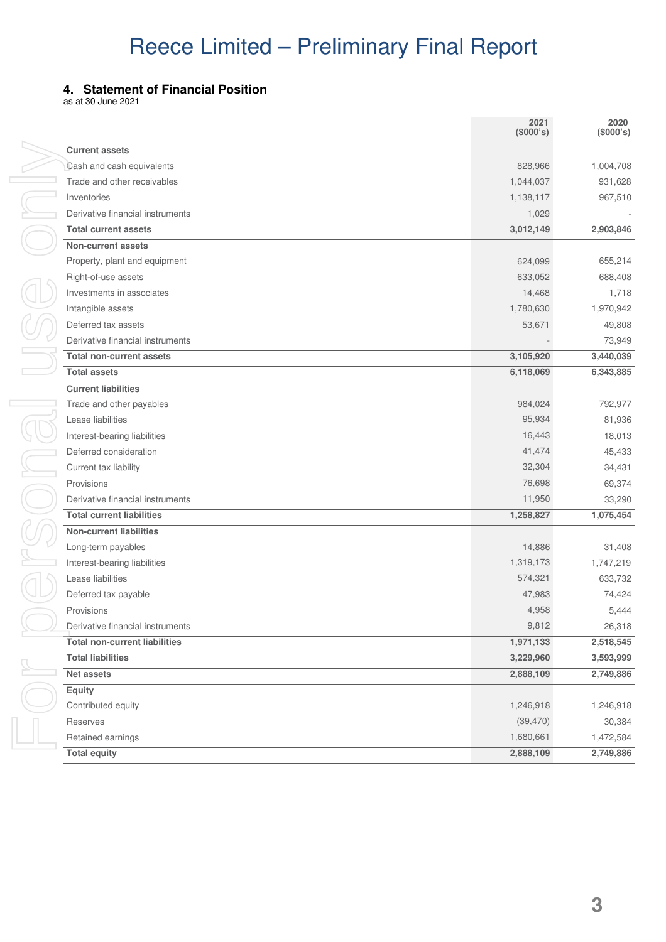#### **4. Statement of Financial Position**

as at 30 June 2021

|                                      | 2021<br>(\$000's) | 2020<br>(\$000's) |
|--------------------------------------|-------------------|-------------------|
| <b>Current assets</b>                |                   |                   |
| Cash and cash equivalents            | 828,966           | 1,004,708         |
| Trade and other receivables          | 1,044,037         | 931,628           |
| Inventories                          | 1,138,117         | 967,510           |
| Derivative financial instruments     | 1,029             |                   |
| <b>Total current assets</b>          | 3,012,149         | 2,903,846         |
| <b>Non-current assets</b>            |                   |                   |
| Property, plant and equipment        | 624,099           | 655,214           |
| Right-of-use assets                  | 633,052           | 688,408           |
| Investments in associates            | 14,468            | 1,718             |
| Intangible assets                    | 1,780,630         | 1,970,942         |
| Deferred tax assets                  | 53,671            | 49,808            |
| Derivative financial instruments     |                   | 73,949            |
| <b>Total non-current assets</b>      | 3,105,920         | 3,440,039         |
| <b>Total assets</b>                  | 6,118,069         | 6,343,885         |
| <b>Current liabilities</b>           |                   |                   |
| Trade and other payables             | 984,024           | 792,977           |
| Lease liabilities                    | 95,934            | 81,936            |
| Interest-bearing liabilities         | 16,443            | 18,013            |
| Deferred consideration               | 41,474            | 45,433            |
| Current tax liability                | 32,304            | 34,431            |
| Provisions                           | 76,698            | 69,374            |
| Derivative financial instruments     | 11,950            | 33,290            |
| <b>Total current liabilities</b>     | 1,258,827         | 1,075,454         |
| <b>Non-current liabilities</b>       |                   |                   |
| Long-term payables                   | 14,886            | 31,408            |
| Interest-bearing liabilities         | 1,319,173         | 1,747,219         |
| Lease liabilities                    | 574,321           | 633,732           |
| Deferred tax payable                 | 47,983            | 74,424            |
| Provisions                           | 4,958             | 5,444             |
| Derivative financial instruments     | 9,812             | 26,318            |
| <b>Total non-current liabilities</b> | 1,971,133         | 2,518,545         |
| <b>Total liabilities</b>             | 3,229,960         | 3,593,999         |
| Net assets                           | 2,888,109         | 2,749,886         |
| Equity                               |                   |                   |
| Contributed equity                   | 1,246,918         | 1,246,918         |
| Reserves                             | (39, 470)         | 30,384            |
| Retained earnings                    | 1,680,661         | 1,472,584         |
| <b>Total equity</b>                  | 2,888,109         | 2,749,886         |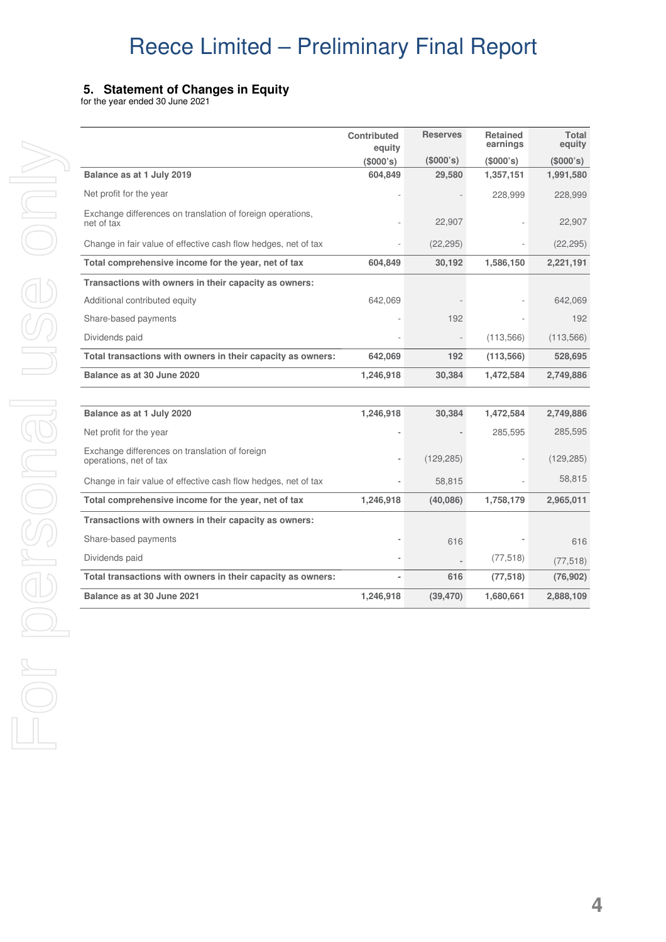### **f Changes in Equity**

| Balance as at 1 July 2019<br>Net profit for the year<br>Exchange differences on translatio<br>net of tax |
|----------------------------------------------------------------------------------------------------------|
|                                                                                                          |
|                                                                                                          |
|                                                                                                          |
|                                                                                                          |
| Change in fair value of effective ca                                                                     |
| Total comprehensive income for                                                                           |
| Transactions with owners in the                                                                          |
| Additional contributed equity                                                                            |
| Share-based payments                                                                                     |
| Dividends paid                                                                                           |
| <b>Total transactions with owners i</b>                                                                  |
| Balance as at 30 June 2020                                                                               |
|                                                                                                          |
| Balance as at 1 July 2020                                                                                |
| Net profit for the year                                                                                  |
| Exchange differences on translatic<br>operations, net of tax                                             |
| Change in fair value of effective ca                                                                     |
| Total comprehensive income for                                                                           |
| Transactions with owners in the                                                                          |
| Share-based payments                                                                                     |
| Dividends paid                                                                                           |
| <b>Total transactions with owners i</b>                                                                  |
| Balance as at 30 June 2021                                                                               |

|                                                                          | <b>Contributed</b><br>equity | <b>Reserves</b> | <b>Retained</b><br>earnings | <b>Total</b><br>equity |
|--------------------------------------------------------------------------|------------------------------|-----------------|-----------------------------|------------------------|
|                                                                          | (\$000's)                    | (\$000's)       | (\$000's)                   | (\$000's)              |
| Balance as at 1 July 2019                                                | 604,849                      | 29,580          | 1,357,151                   | 1,991,580              |
| Net profit for the year                                                  |                              |                 | 228,999                     | 228,999                |
| Exchange differences on translation of foreign operations,<br>net of tax |                              | 22,907          |                             | 22,907                 |
| Change in fair value of effective cash flow hedges, net of tax           |                              | (22, 295)       |                             | (22, 295)              |
| Total comprehensive income for the year, net of tax                      | 604,849                      | 30,192          | 1,586,150                   | 2,221,191              |
| Transactions with owners in their capacity as owners:                    |                              |                 |                             |                        |
| Additional contributed equity                                            | 642,069                      |                 |                             | 642,069                |
| Share-based payments                                                     |                              | 192             |                             | 192                    |
| Dividends paid                                                           |                              |                 | (113,566)                   | (113, 566)             |
| Total transactions with owners in their capacity as owners:              | 642,069                      | 192             | (113, 566)                  | 528,695                |
| Balance as at 30 June 2020                                               | 1,246,918                    | 30,384          | 1,472,584                   | 2,749,886              |
|                                                                          |                              |                 |                             |                        |
| Balance as at 1 July 2020                                                | 1,246,918                    | 30,384          | 1,472,584                   | 2,749,886              |
| Net profit for the year                                                  |                              |                 | 285,595                     | 285,595                |
| Exchange differences on translation of foreign<br>operations, net of tax |                              | (129, 285)      |                             | (129, 285)             |
| Change in fair value of effective cash flow hedges, net of tax           |                              | 58,815          |                             | 58,815                 |
| Total comprehensive income for the year, net of tax                      | 1,246,918                    | (40,086)        | 1,758,179                   | 2,965,011              |
| Transactions with owners in their capacity as owners:                    |                              |                 |                             |                        |
| Share-based payments                                                     |                              | 616             |                             | 616                    |
| Dividends paid                                                           |                              |                 | (77, 518)                   | (77, 518)              |
| Total transactions with owners in their capacity as owners:              |                              | 616             | (77, 518)                   | (76, 902)              |
| <b>Balance as at 30 June 2021</b>                                        | 1,246,918                    | (39, 470)       | 1,680,661                   | 2,888,109              |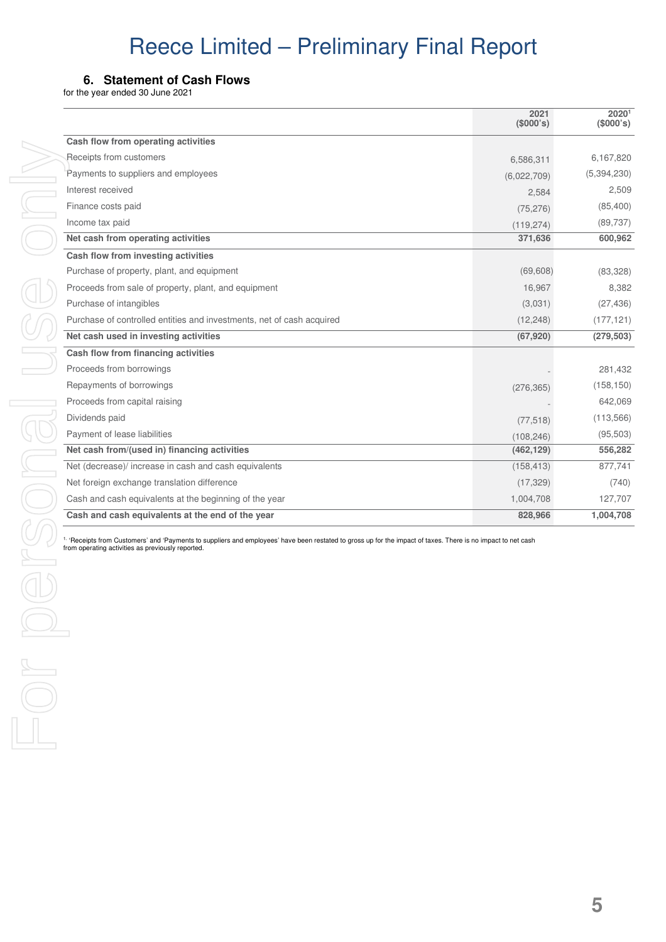#### **6. Statement of Cash Flows**

for the year ended 30 June 2021

|                                                                       | 2021<br>(\$000's) | 20201<br>(\$000's) |
|-----------------------------------------------------------------------|-------------------|--------------------|
| Cash flow from operating activities                                   |                   |                    |
| Receipts from customers                                               | 6,586,311         | 6,167,820          |
| Payments to suppliers and employees                                   | (6,022,709)       | (5,394,230)        |
| Interest received                                                     | 2,584             | 2,509              |
| Finance costs paid                                                    | (75, 276)         | (85, 400)          |
| Income tax paid                                                       | (119, 274)        | (89, 737)          |
| Net cash from operating activities                                    | 371,636           | 600,962            |
| Cash flow from investing activities                                   |                   |                    |
| Purchase of property, plant, and equipment                            | (69, 608)         | (83, 328)          |
| Proceeds from sale of property, plant, and equipment                  | 16,967            | 8,382              |
| Purchase of intangibles                                               | (3,031)           | (27, 436)          |
| Purchase of controlled entities and investments, net of cash acquired | (12, 248)         | (177, 121)         |
| Net cash used in investing activities                                 | (67, 920)         | (279, 503)         |
| Cash flow from financing activities                                   |                   |                    |
| Proceeds from borrowings                                              |                   | 281,432            |
| Repayments of borrowings                                              | (276, 365)        | (158, 150)         |
| Proceeds from capital raising                                         |                   | 642,069            |
| Dividends paid                                                        | (77, 518)         | (113, 566)         |
| Payment of lease liabilities                                          | (108, 246)        | (95, 503)          |
| Net cash from/(used in) financing activities                          | (462, 129)        | 556,282            |
| Net (decrease)/ increase in cash and cash equivalents                 | (158, 413)        | 877,741            |
| Net foreign exchange translation difference                           | (17, 329)         | (740)              |
| Cash and cash equivalents at the beginning of the year                | 1,004,708         | 127,707            |
| Cash and cash equivalents at the end of the year                      | 828,966           | 1,004,708          |

1. 'Receipts from Customers' and 'Payments to suppliers and employees' have been restated to gross up for the impact of taxes. There is no impact to net cash from operating activities as previously reported.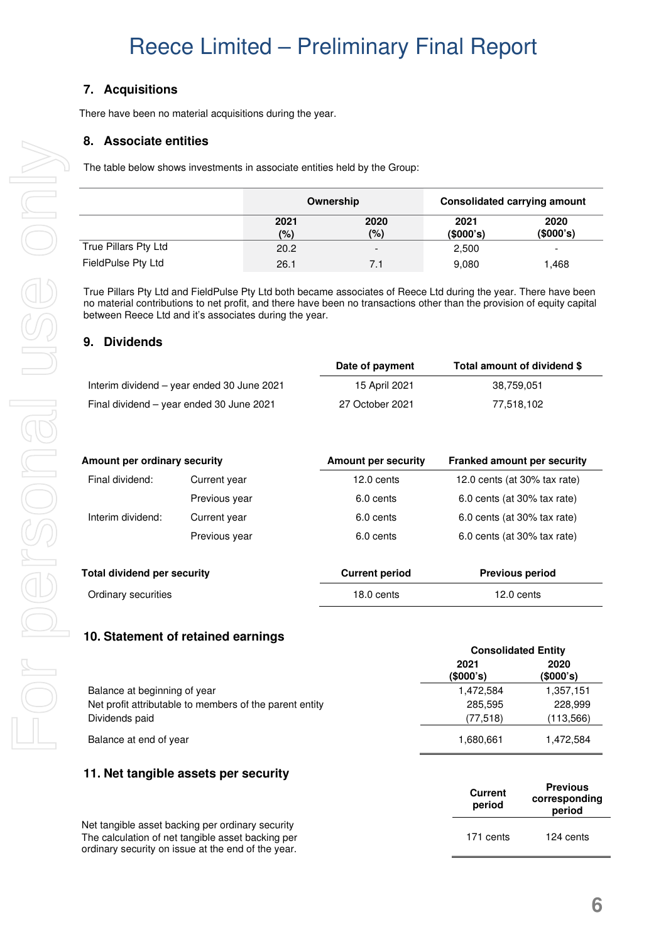### **7. Acquisitions**

There have been no material acquisitions during the year.

#### **8. Associate entities**

The table below shows investments in associate entities held by the Group:

|                      |             | Ownership                |                   | <b>Consolidated carrying amount</b> |
|----------------------|-------------|--------------------------|-------------------|-------------------------------------|
|                      | 2021<br>(%) | 2020<br>(%)              | 2021<br>(\$000's) | 2020<br>(\$000's)                   |
| True Pillars Pty Ltd | 20.2        | $\overline{\phantom{a}}$ | 2,500             |                                     |
| FieldPulse Pty Ltd   | 26.1        | 7.1                      | 9,080             | .468                                |

True Pillars Pty Ltd and FieldPulse Pty Ltd both became associates of Reece Ltd during the year. There have been no material contributions to net profit, and there have been no transactions other than the provision of equity capital between Reece Ltd and it's associates during the year.

#### **9. Dividends**

|                                            | Date of payment | Total amount of dividend \$ |
|--------------------------------------------|-----------------|-----------------------------|
| Interim dividend – year ended 30 June 2021 | 15 April 2021   | 38,759,051                  |
| Final dividend – year ended 30 June 2021   | 27 October 2021 | 77.518.102                  |

| Amount per ordinary security       |               | <b>Amount per security</b> | <b>Franked amount per security</b> |
|------------------------------------|---------------|----------------------------|------------------------------------|
| Final dividend:                    | Current year  | 12.0 cents                 | 12.0 cents (at 30% tax rate)       |
|                                    | Previous year | 6.0 cents                  | 6.0 cents (at 30% tax rate)        |
| Interim dividend:                  | Current year  | 6.0 cents                  | 6.0 cents (at 30% tax rate)        |
|                                    | Previous year | 6.0 cents                  | 6.0 cents (at 30% tax rate)        |
| <b>Total dividend per security</b> |               | <b>Current period</b>      | <b>Previous period</b>             |
| Ordinary securities                |               | 18.0 cents                 | 12.0 cents                         |

#### **10. Statement of retained earnings**

|                                                         | <b>CONSONGATED ENTIRY</b> |                   |
|---------------------------------------------------------|---------------------------|-------------------|
|                                                         | 2021<br>(\$000's)         | 2020<br>(\$000's) |
| Balance at beginning of year                            | 1.472.584                 | 1,357,151         |
| Net profit attributable to members of the parent entity | 285.595                   | 228,999           |
| Dividends paid                                          | (77, 518)                 | (113,566)         |
| Balance at end of year                                  | 1,680,661                 | 1,472,584         |

#### **11. Net tangible assets per security**

|                                                                                                         | <b>Current</b><br>period | <b>Previous</b><br>corresponding<br>period |
|---------------------------------------------------------------------------------------------------------|--------------------------|--------------------------------------------|
| Net tangible asset backing per ordinary security                                                        |                          |                                            |
| The calculation of net tangible asset backing per<br>ordinary security on issue at the end of the year. | 171 cents                | 124 cents                                  |

 **Consolidated Entity**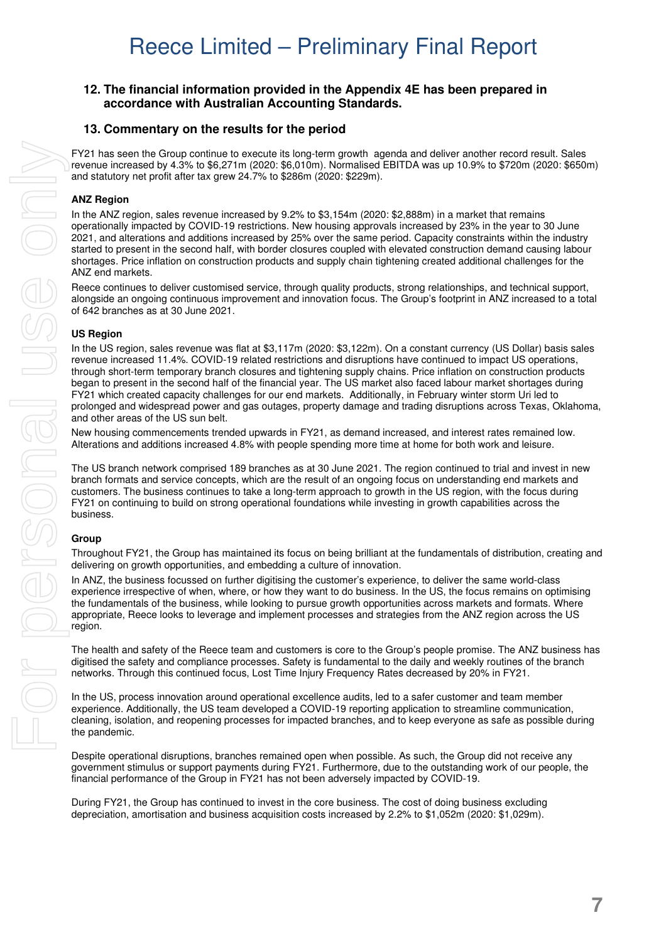#### **12. The financial information provided in the Appendix 4E has been prepared in accordance with Australian Accounting Standards.**

#### **13. Commentary on the results for the period**

FY21 has seen the Group continue to execute its long-term growth agenda and deliver another record result. Sales revenue increased by 4.3% to \$6,271m (2020: \$6,010m). Normalised EBITDA was up 10.9% to \$720m (2020: \$650m) and statutory net profit after tax grew 24.7% to \$286m (2020: \$229m).

#### **ANZ Region**

In the ANZ region, sales revenue increased by 9.2% to \$3,154m (2020: \$2,888m) in a market that remains operationally impacted by COVID-19 restrictions. New housing approvals increased by 23% in the year to 30 June 2021, and alterations and additions increased by 25% over the same period. Capacity constraints within the industry started to present in the second half, with border closures coupled with elevated construction demand causing labour shortages. Price inflation on construction products and supply chain tightening created additional challenges for the ANZ end markets.

Reece continues to deliver customised service, through quality products, strong relationships, and technical support, alongside an ongoing continuous improvement and innovation focus. The Group's footprint in ANZ increased to a total of 642 branches as at 30 June 2021.

#### **US Region**

In the US region, sales revenue was flat at \$3,117m (2020: \$3,122m). On a constant currency (US Dollar) basis sales revenue increased 11.4%. COVID-19 related restrictions and disruptions have continued to impact US operations, through short-term temporary branch closures and tightening supply chains. Price inflation on construction products began to present in the second half of the financial year. The US market also faced labour market shortages during FY21 which created capacity challenges for our end markets. Additionally, in February winter storm Uri led to prolonged and widespread power and gas outages, property damage and trading disruptions across Texas, Oklahoma, and other areas of the US sun belt.

New housing commencements trended upwards in FY21, as demand increased, and interest rates remained low. Alterations and additions increased 4.8% with people spending more time at home for both work and leisure.

The US branch network comprised 189 branches as at 30 June 2021. The region continued to trial and invest in new branch formats and service concepts, which are the result of an ongoing focus on understanding end markets and customers. The business continues to take a long-term approach to growth in the US region, with the focus during FY21 on continuing to build on strong operational foundations while investing in growth capabilities across the business.

#### **Group**

Throughout FY21, the Group has maintained its focus on being brilliant at the fundamentals of distribution, creating and delivering on growth opportunities, and embedding a culture of innovation.

In ANZ, the business focussed on further digitising the customer's experience, to deliver the same world-class experience irrespective of when, where, or how they want to do business. In the US, the focus remains on optimising the fundamentals of the business, while looking to pursue growth opportunities across markets and formats. Where appropriate, Reece looks to leverage and implement processes and strategies from the ANZ region across the US region.

The health and safety of the Reece team and customers is core to the Group's people promise. The ANZ business has digitised the safety and compliance processes. Safety is fundamental to the daily and weekly routines of the branch networks. Through this continued focus, Lost Time Injury Frequency Rates decreased by 20% in FY21.

In the US, process innovation around operational excellence audits, led to a safer customer and team member experience. Additionally, the US team developed a COVID-19 reporting application to streamline communication, cleaning, isolation, and reopening processes for impacted branches, and to keep everyone as safe as possible during the pandemic.

Despite operational disruptions, branches remained open when possible. As such, the Group did not receive any government stimulus or support payments during FY21. Furthermore, due to the outstanding work of our people, the financial performance of the Group in FY21 has not been adversely impacted by COVID-19.

During FY21, the Group has continued to invest in the core business. The cost of doing business excluding depreciation, amortisation and business acquisition costs increased by 2.2% to \$1,052m (2020: \$1,029m).